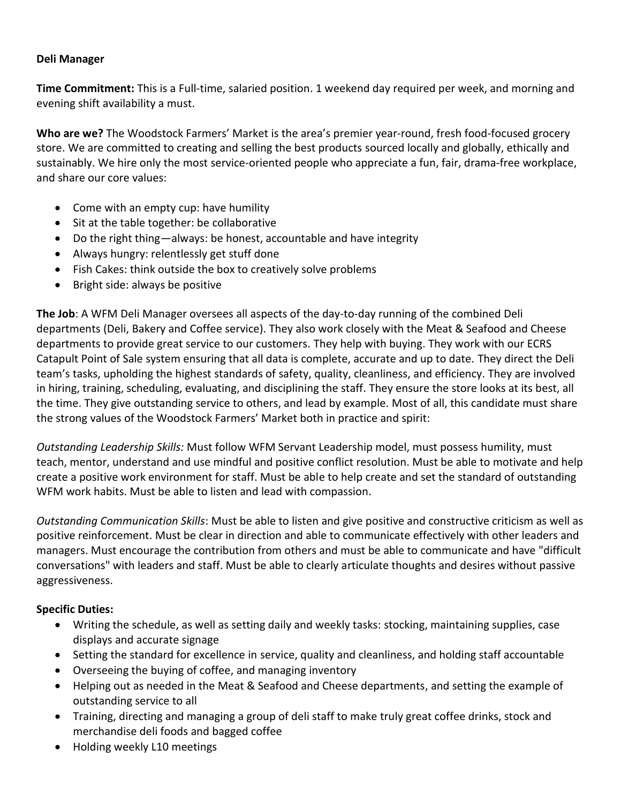## **Deli Manager**

**Time Commitment:** This is a Full-time, salaried position. 1 weekend day required per week, and morning and evening shift availability a must.

**Who are we?** The Woodstock Farmers' Market is the area's premier year-round, fresh food-focused grocery store. We are committed to creating and selling the best products sourced locally and globally, ethically and sustainably. We hire only the most service-oriented people who appreciate a fun, fair, drama-free workplace, and share our core values:

- Come with an empty cup: have humility
- Sit at the table together: be collaborative
- Do the right thing—always: be honest, accountable and have integrity
- Always hungry: relentlessly get stuff done
- Fish Cakes: think outside the box to creatively solve problems
- Bright side: always be positive

**The Job**: A WFM Deli Manager oversees all aspects of the day-to-day running of the combined Deli departments (Deli, Bakery and Coffee service). They also work closely with the Meat & Seafood and Cheese departments to provide great service to our customers. They help with buying. They work with our ECRS Catapult Point of Sale system ensuring that all data is complete, accurate and up to date. They direct the Deli team's tasks, upholding the highest standards of safety, quality, cleanliness, and efficiency. They are involved in hiring, training, scheduling, evaluating, and disciplining the staff. They ensure the store looks at its best, all the time. They give outstanding service to others, and lead by example. Most of all, this candidate must share the strong values of the Woodstock Farmers' Market both in practice and spirit:

*Outstanding Leadership Skills:* Must follow WFM Servant Leadership model, must possess humility, must teach, mentor, understand and use mindful and positive conflict resolution. Must be able to motivate and help create a positive work environment for staff. Must be able to help create and set the standard of outstanding WFM work habits. Must be able to listen and lead with compassion.

*Outstanding Communication Skills*: Must be able to listen and give positive and constructive criticism as well as positive reinforcement. Must be clear in direction and able to communicate effectively with other leaders and managers. Must encourage the contribution from others and must be able to communicate and have "difficult conversations" with leaders and staff. Must be able to clearly articulate thoughts and desires without passive aggressiveness.

## **Specific Duties:**

- Writing the schedule, as well as setting daily and weekly tasks: stocking, maintaining supplies, case displays and accurate signage
- Setting the standard for excellence in service, quality and cleanliness, and holding staff accountable
- Overseeing the buying of coffee, and managing inventory
- Helping out as needed in the Meat & Seafood and Cheese departments, and setting the example of outstanding service to all
- Training, directing and managing a group of deli staff to make truly great coffee drinks, stock and merchandise deli foods and bagged coffee
- Holding weekly L10 meetings